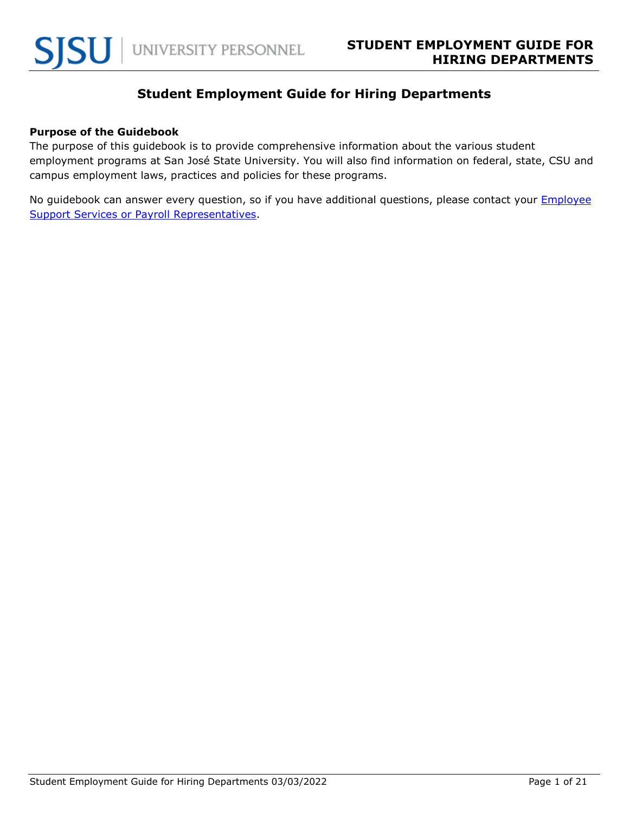# **Student Employment Guide for Hiring Departments**

#### **Purpose of the Guidebook**

The purpose of this guidebook is to provide comprehensive information about the various student employment programs at San José State University. You will also find information on federal, state, CSU and campus employment laws, practices and policies for these programs.

No guidebook can answer every question, so if you have additional questions, please contact your **Employee** [Support Services or Payroll Representatives.](https://www.sjsu.edu/up/resources/your-up-rep.php)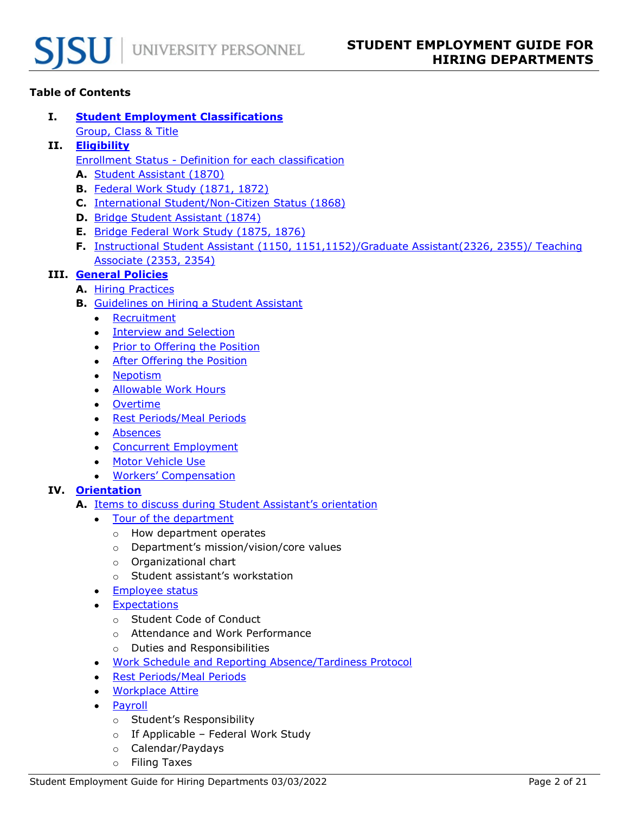# **Table of Contents**

- **I. [Student Employment Classifications](#page-3-0)**
	- [Group, Class & Title](#page-3-1)
- **II. [Eligibility](#page-4-0)**
	- [Enrollment Status Definition for each classification](#page-4-1)
	- **A.** [Student Assistant \(1870\)](#page-4-2)
	- **B.** [Federal Work Study \(1871, 1872\)](#page-4-3)
	- **C.** [International Student/Non-Citizen Status \(1868\)](#page-5-0)
	- **D.** [Bridge Student Assistant \(1874\)](#page-5-1)
	- **E.** [Bridge Federal Work Study \(1875, 1876\)](#page-5-2)
	- **F.** [Instructional Student Assistant \(1150, 1151,1152\)/Graduate Assistant\(2326, 2355\)/ Teaching](#page-5-3)  [Associate \(2353, 2354\)](#page-5-3)

# **III. [General Policies](#page-6-0)**

- **A.** [Hiring Practices](#page-6-1)
- **B.** [Guidelines on Hiring a Student Assistant](#page-7-0)
	- [Recruitment](#page-7-1)
	- [Interview and Selection](#page-7-2)
	- [Prior to Offering the Position](#page-7-3)
	- [After Offering the Position](#page-8-0)
	- [Nepotism](#page-10-0)
	- [Allowable Work Hours](#page-10-1)
	- [Overtime](#page-11-0)
	- [Rest Periods/Meal Periods](#page-11-1)
	- [Absences](#page-12-0)
	- [Concurrent Employment](#page-12-1)
	- [Motor Vehicle Use](#page-12-2)
	- [Workers' Compensation](#page-13-0)

# **IV. [Orientation](#page-13-1)**

- **A.** [Items to discuss during Student Assistant's orientation](#page-13-2)
	- [Tour of the department](#page-13-3)
		- o How department operates
		- o Department's mission/vision/core values
		- o Organizational chart
		- o Student assistant's workstation
	- [Employee](#page-13-4) status
	- [Expectations](#page-13-5)
		- o Student Code of Conduct
		- o Attendance and Work Performance
		- o Duties and Responsibilities
	- [Work Schedule and Reporting Absence/Tardiness Protocol](#page-14-0)
	- [Rest Periods/Meal Periods](#page-14-1)
	- [Workplace Attire](#page-14-2)
	- [Payroll](#page-14-3)
		- o Student's Responsibility
		- o If Applicable Federal Work Study
		- o Calendar/Paydays
		- o Filing Taxes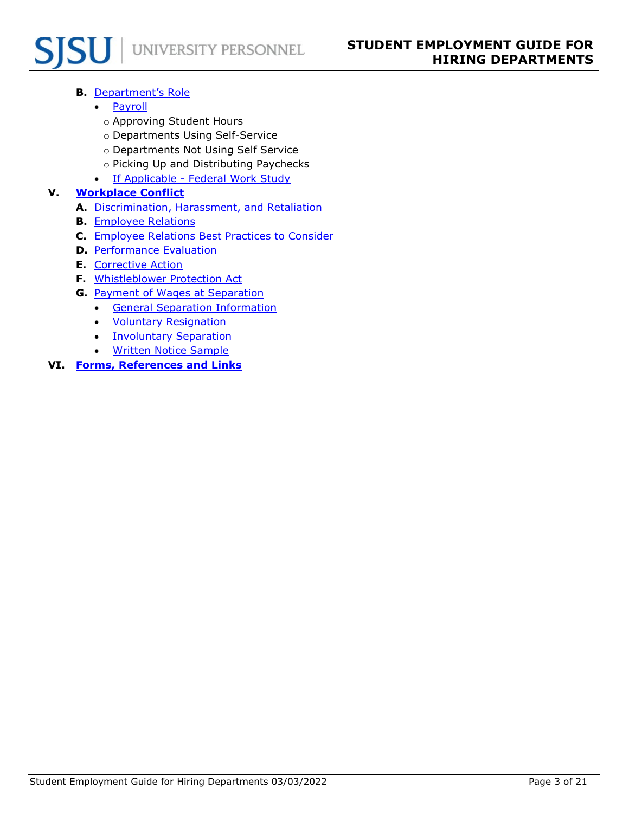# UNIVERSITY PERSONNEL

# **B.** [Department's Role](#page-15-0)

- [Payroll](#page-15-1)
	- o Approving Student Hours
	- o Departments Using Self-Service
	- o Departments Not Using Self Service
	- o Picking Up and Distributing Paychecks
- [If Applicable Federal Work Study](#page-15-2)

# **V. [Workplace Conflict](#page-15-3)**

- **A.** [Discrimination, Harassment, and Retaliation](#page-15-4)
- **B.** [Employee Relations](#page-16-0)
- **C.** [Employee Relations Best Practices to Consider](#page-17-0)
- **D.** [Performance Evaluation](#page-17-1)
- **E.** [Corrective Action](#page-17-2)
- **F.** [Whistleblower Protection Act](#page-18-0)
- **G.** [Payment of Wages at Separation](#page-18-1)
	- [General Separation Information](#page-18-2)
	- [Voluntary Resignation](#page-18-3)
	- [Involuntary Separation](#page-19-0)
	- [Written Notice Sample](#page-20-0)

# **VI. [Forms, References and Links](#page-20-1)**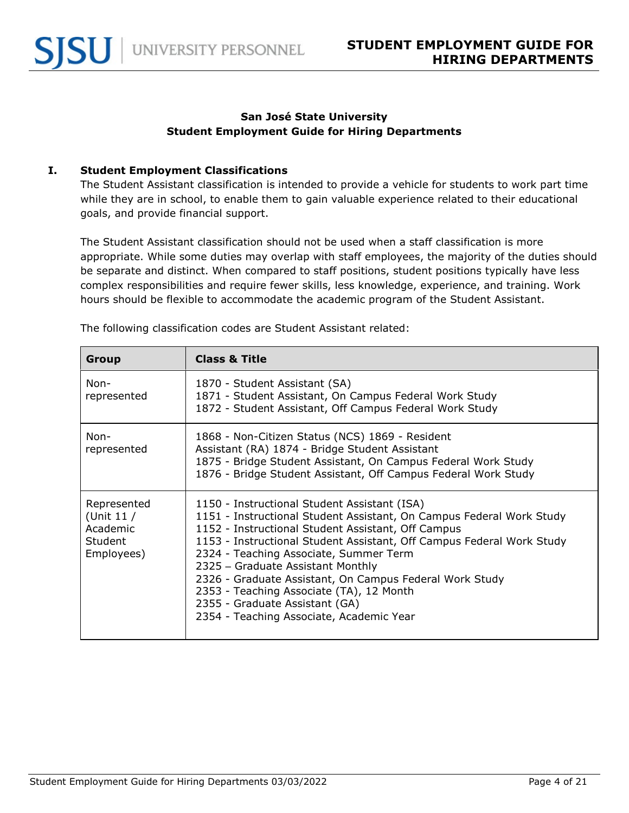## **San José State University Student Employment Guide for Hiring Departments**

#### <span id="page-3-0"></span>**I. Student Employment Classifications**

The Student Assistant classification is intended to provide a vehicle for students to work part time while they are in school, to enable them to gain valuable experience related to their educational goals, and provide financial support.

The Student Assistant classification should not be used when a staff classification is more appropriate. While some duties may overlap with staff employees, the majority of the duties should be separate and distinct. When compared to staff positions, student positions typically have less complex responsibilities and require fewer skills, less knowledge, experience, and training. Work hours should be flexible to accommodate the academic program of the Student Assistant.

<span id="page-3-1"></span>

| <b>Group</b>                                                    | <b>Class &amp; Title</b>                                                                                                                                                                                                                                                                                                                                                                                                                                                                                                |
|-----------------------------------------------------------------|-------------------------------------------------------------------------------------------------------------------------------------------------------------------------------------------------------------------------------------------------------------------------------------------------------------------------------------------------------------------------------------------------------------------------------------------------------------------------------------------------------------------------|
| Non-<br>represented                                             | 1870 - Student Assistant (SA)<br>1871 - Student Assistant, On Campus Federal Work Study<br>1872 - Student Assistant, Off Campus Federal Work Study                                                                                                                                                                                                                                                                                                                                                                      |
| Non-<br>represented                                             | 1868 - Non-Citizen Status (NCS) 1869 - Resident<br>Assistant (RA) 1874 - Bridge Student Assistant<br>1875 - Bridge Student Assistant, On Campus Federal Work Study<br>1876 - Bridge Student Assistant, Off Campus Federal Work Study                                                                                                                                                                                                                                                                                    |
| Represented<br>(Unit $11/$<br>Academic<br>Student<br>Employees) | 1150 - Instructional Student Assistant (ISA)<br>1151 - Instructional Student Assistant, On Campus Federal Work Study<br>1152 - Instructional Student Assistant, Off Campus<br>1153 - Instructional Student Assistant, Off Campus Federal Work Study<br>2324 - Teaching Associate, Summer Term<br>2325 - Graduate Assistant Monthly<br>2326 - Graduate Assistant, On Campus Federal Work Study<br>2353 - Teaching Associate (TA), 12 Month<br>2355 - Graduate Assistant (GA)<br>2354 - Teaching Associate, Academic Year |

The following classification codes are Student Assistant related: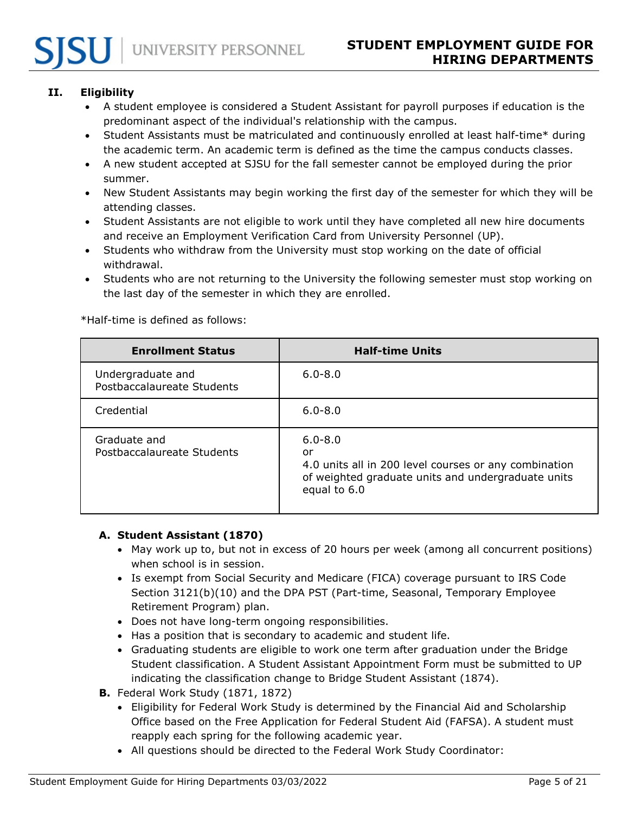# <span id="page-4-0"></span>**II. Eligibility**

- A student employee is considered a Student Assistant for payroll purposes if education is the predominant aspect of the individual's relationship with the campus.
- Student Assistants must be matriculated and continuously enrolled at least half-time\* during the academic term. An academic term is defined as the time the campus conducts classes.
- A new student accepted at SJSU for the fall semester cannot be employed during the prior summer.
- New Student Assistants may begin working the first day of the semester for which they will be attending classes.
- Student Assistants are not eligible to work until they have completed all new hire documents and receive an Employment Verification Card from University Personnel (UP).
- Students who withdraw from the University must stop working on the date of official withdrawal.
- Students who are not returning to the University the following semester must stop working on the last day of the semester in which they are enrolled.

\*Half-time is defined as follows:

<span id="page-4-1"></span>

| <b>Enrollment Status</b>                        | <b>Half-time Units</b>                                                                                                                           |
|-------------------------------------------------|--------------------------------------------------------------------------------------------------------------------------------------------------|
| Undergraduate and<br>Postbaccalaureate Students | $6.0 - 8.0$                                                                                                                                      |
| Credential                                      | $6.0 - 8.0$                                                                                                                                      |
| Graduate and<br>Postbaccalaureate Students      | $6.0 - 8.0$<br>or<br>4.0 units all in 200 level courses or any combination<br>of weighted graduate units and undergraduate units<br>equal to 6.0 |

#### <span id="page-4-2"></span>**A. Student Assistant (1870)**

- May work up to, but not in excess of 20 hours per week (among all concurrent positions) when school is in session.
- Is exempt from Social Security and Medicare (FICA) coverage pursuant to IRS Code Section 3121(b)(10) and the DPA PST (Part-time, Seasonal, Temporary Employee Retirement Program) plan.
- Does not have long-term ongoing responsibilities.
- Has a position that is secondary to academic and student life.
- Graduating students are eligible to work one term after graduation under the Bridge Student classification. A Student Assistant Appointment Form must be submitted to UP indicating the classification change to Bridge Student Assistant (1874).
- <span id="page-4-3"></span>**B.** Federal Work Study (1871, 1872)
	- Eligibility for Federal Work Study is determined by the Financial Aid and Scholarship Office based on the Free Application for Federal Student Aid (FAFSA). A student must reapply each spring for the following academic year.
	- All questions should be directed to the Federal Work Study Coordinator: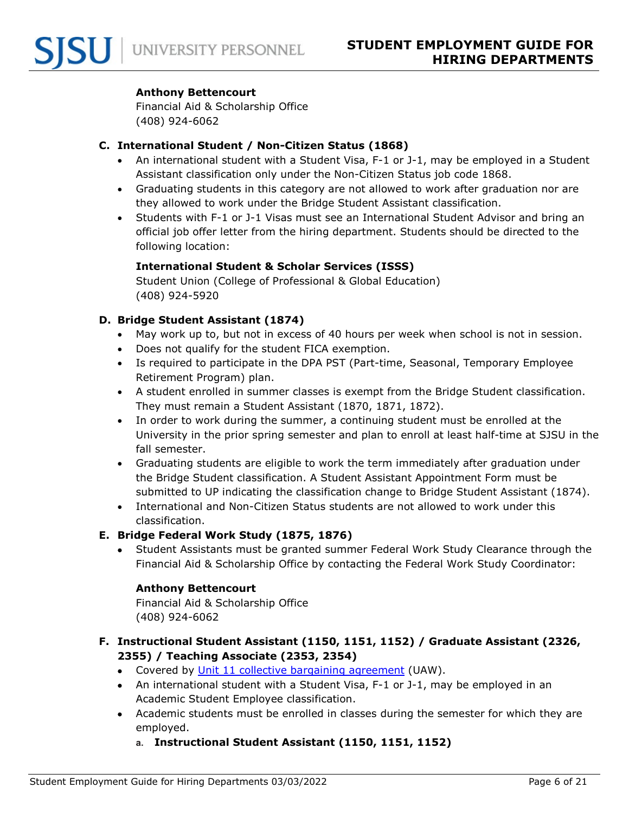#### **Anthony Bettencourt**

Financial Aid & Scholarship Office (408) 924-6062

#### <span id="page-5-0"></span>**C. International Student / Non-Citizen Status (1868)**

- An international student with a Student Visa, F-1 or J-1, may be employed in a Student Assistant classification only under the Non-Citizen Status job code 1868.
- Graduating students in this category are not allowed to work after graduation nor are they allowed to work under the Bridge Student Assistant classification.
- Students with F-1 or J-1 Visas must see an International Student Advisor and bring an official job offer letter from the hiring department. Students should be directed to the following location:

## **International Student & Scholar Services (ISSS)**

Student Union (College of Professional & Global Education) (408) 924-5920

#### <span id="page-5-1"></span>**D. Bridge Student Assistant (1874)**

- May work up to, but not in excess of 40 hours per week when school is not in session.
- Does not qualify for the student FICA exemption.
- Is required to participate in the DPA PST (Part-time, Seasonal, Temporary Employee Retirement Program) plan.
- A student enrolled in summer classes is exempt from the Bridge Student classification. They must remain a Student Assistant (1870, 1871, 1872).
- In order to work during the summer, a continuing student must be enrolled at the University in the prior spring semester and plan to enroll at least half-time at SJSU in the fall semester.
- Graduating students are eligible to work the term immediately after graduation under the Bridge Student classification. A Student Assistant Appointment Form must be submitted to UP indicating the classification change to Bridge Student Assistant (1874).
- International and Non-Citizen Status students are not allowed to work under this classification.

#### <span id="page-5-2"></span>**E. Bridge Federal Work Study (1875, 1876)**

• Student Assistants must be granted summer Federal Work Study Clearance through the Financial Aid & Scholarship Office by contacting the Federal Work Study Coordinator:

#### **Anthony Bettencourt**

Financial Aid & Scholarship Office (408) 924-6062

## <span id="page-5-3"></span>**F. Instructional Student Assistant (1150, 1151, 1152) / Graduate Assistant (2326, 2355) / Teaching Associate (2353, 2354)**

- Covered by [Unit 11 collective bargaining agreement](https://www.calstate.edu/csu-system/faculty-staff/labor-and-employee-relations/Pages/unit11-uaw.aspx) (UAW).
- An international student with a Student Visa, F-1 or J-1, may be employed in an Academic Student Employee classification.
- Academic students must be enrolled in classes during the semester for which they are employed.
	- **a. Instructional Student Assistant (1150, 1151, 1152)**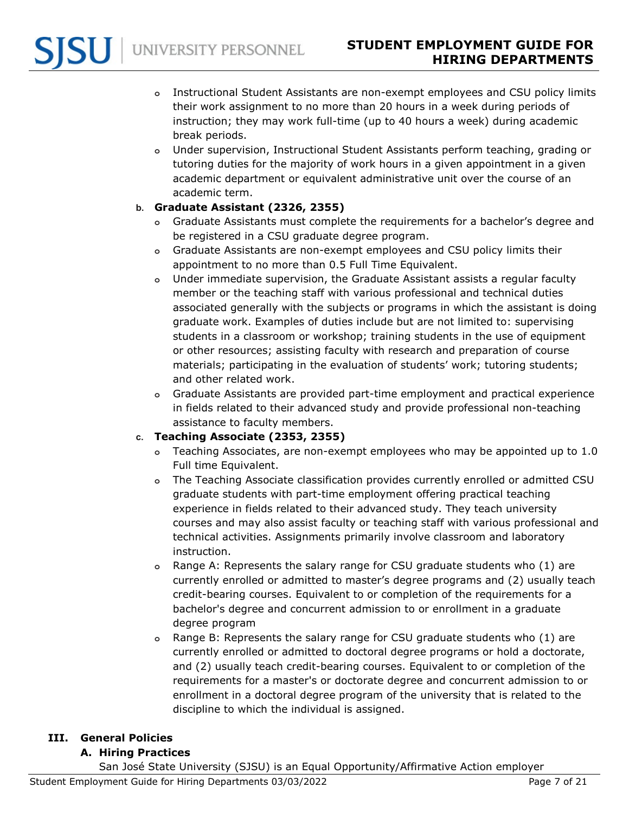- **o** Instructional Student Assistants are non-exempt employees and CSU policy limits their work assignment to no more than 20 hours in a week during periods of instruction; they may work full-time (up to 40 hours a week) during academic break periods.
- **o** Under supervision, Instructional Student Assistants perform teaching, grading or tutoring duties for the majority of work hours in a given appointment in a given academic department or equivalent administrative unit over the course of an academic term.

## **b. Graduate Assistant (2326, 2355)**

- **o** Graduate Assistants must complete the requirements for a bachelor's degree and be registered in a CSU graduate degree program.
- **o** Graduate Assistants are non-exempt employees and CSU policy limits their appointment to no more than 0.5 Full Time Equivalent.
- **o** Under immediate supervision, the Graduate Assistant assists a regular faculty member or the teaching staff with various professional and technical duties associated generally with the subjects or programs in which the assistant is doing graduate work. Examples of duties include but are not limited to: supervising students in a classroom or workshop; training students in the use of equipment or other resources; assisting faculty with research and preparation of course materials; participating in the evaluation of students' work; tutoring students; and other related work.
- **o** Graduate Assistants are provided part-time employment and practical experience in fields related to their advanced study and provide professional non-teaching assistance to faculty members.

# **c. Teaching Associate (2353, 2355)**

- **o** Teaching Associates, are non-exempt employees who may be appointed up to 1.0 Full time Equivalent.
- **o** The Teaching Associate classification provides currently enrolled or admitted CSU graduate students with part-time employment offering practical teaching experience in fields related to their advanced study. They teach university courses and may also assist faculty or teaching staff with various professional and technical activities. Assignments primarily involve classroom and laboratory instruction.
- **o** Range A: Represents the salary range for CSU graduate students who (1) are currently enrolled or admitted to master's degree programs and (2) usually teach credit-bearing courses. Equivalent to or completion of the requirements for a bachelor's degree and concurrent admission to or enrollment in a graduate degree program
- **o** Range B: Represents the salary range for CSU graduate students who (1) are currently enrolled or admitted to doctoral degree programs or hold a doctorate, and (2) usually teach credit-bearing courses. Equivalent to or completion of the requirements for a master's or doctorate degree and concurrent admission to or enrollment in a doctoral degree program of the university that is related to the discipline to which the individual is assigned.

#### <span id="page-6-1"></span><span id="page-6-0"></span>**III. General Policies**

# **A. Hiring Practices**

San José State University (SJSU) is an Equal Opportunity/Affirmative Action employer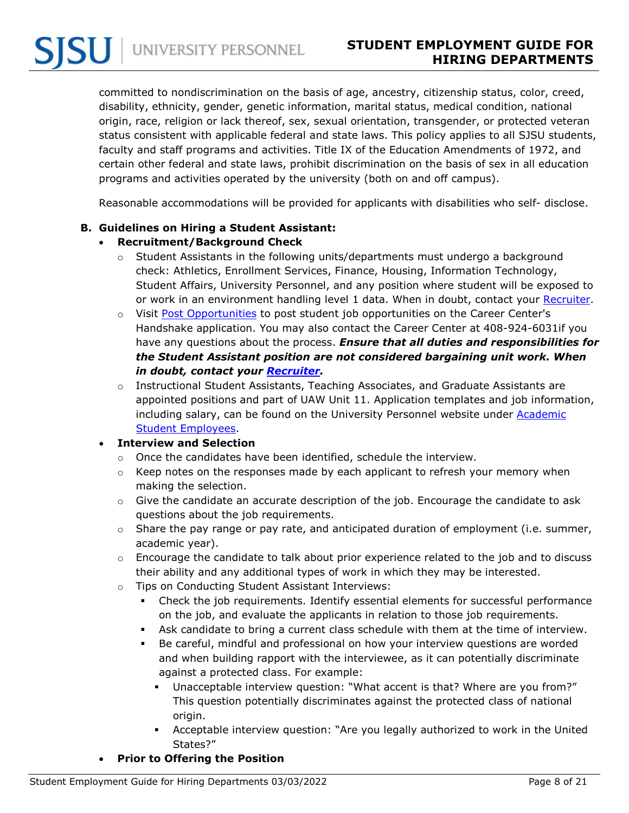committed to nondiscrimination on the basis of age, ancestry, citizenship status, color, creed, disability, ethnicity, gender, genetic information, marital status, medical condition, national origin, race, religion or lack thereof, sex, sexual orientation, transgender, or protected veteran status consistent with applicable federal and state laws. This policy applies to all SJSU students, faculty and staff programs and activities. Title IX of the Education Amendments of 1972, and certain other federal and state laws, prohibit discrimination on the basis of sex in all education programs and activities operated by the university (both on and off campus).

Reasonable accommodations will be provided for applicants with disabilities who self- disclose.

#### <span id="page-7-1"></span><span id="page-7-0"></span>**B. Guidelines on Hiring a Student Assistant:**

#### • **Recruitment/Background Check**

- $\circ$  Student Assistants in the following units/departments must undergo a background check: Athletics, Enrollment Services, Finance, Housing, Information Technology, Student Affairs, University Personnel, and any position where student will be exposed to or work in an environment handling level 1 data. When in doubt, contact your [Recruiter.](https://www.sjsu.edu/up/resources/your-up-rep.php)
- o Visit [Post Opportunities](https://www.sjsu.edu/careercenter/employers/post-opportunities.php) to post student job opportunities on the Career Center's Handshake application. You may also contact the Career Center at 408-924-6031if you have any questions about the process. *Ensure that all duties and responsibilities for the Student Assistant position are not considered bargaining unit work. When in doubt, contact your [Recruiter.](https://www.sjsu.edu/up/resources/your-up-rep.php)*
- $\circ$  Instructional Student Assistants, Teaching Associates, and Graduate Assistants are appointed positions and part of UAW Unit 11. Application templates and job information, including salary, can be found on the University Personnel website under [Academic](https://www.sjsu.edu/up/uptoolkit/onboard/academic-student-employees/index.php)  [Student Employees.](https://www.sjsu.edu/up/uptoolkit/onboard/academic-student-employees/index.php)

#### <span id="page-7-2"></span>• **Interview and Selection**

- o Once the candidates have been identified, schedule the interview.
- o Keep notes on the responses made by each applicant to refresh your memory when making the selection.
- $\circ$  Give the candidate an accurate description of the job. Encourage the candidate to ask questions about the job requirements.
- $\circ$  Share the pay range or pay rate, and anticipated duration of employment (i.e. summer, academic year).
- $\circ$  Encourage the candidate to talk about prior experience related to the job and to discuss their ability and any additional types of work in which they may be interested.
- o Tips on Conducting Student Assistant Interviews:
	- Check the job requirements. Identify essential elements for successful performance on the job, and evaluate the applicants in relation to those job requirements.
	- Ask candidate to bring a current class schedule with them at the time of interview.
	- Be careful, mindful and professional on how your interview questions are worded and when building rapport with the interviewee, as it can potentially discriminate against a protected class. For example:
		- Unacceptable interview question: "What accent is that? Where are you from?" This question potentially discriminates against the protected class of national origin.
		- Acceptable interview question: "Are you legally authorized to work in the United States?"
- <span id="page-7-3"></span>• **Prior to Offering the Position**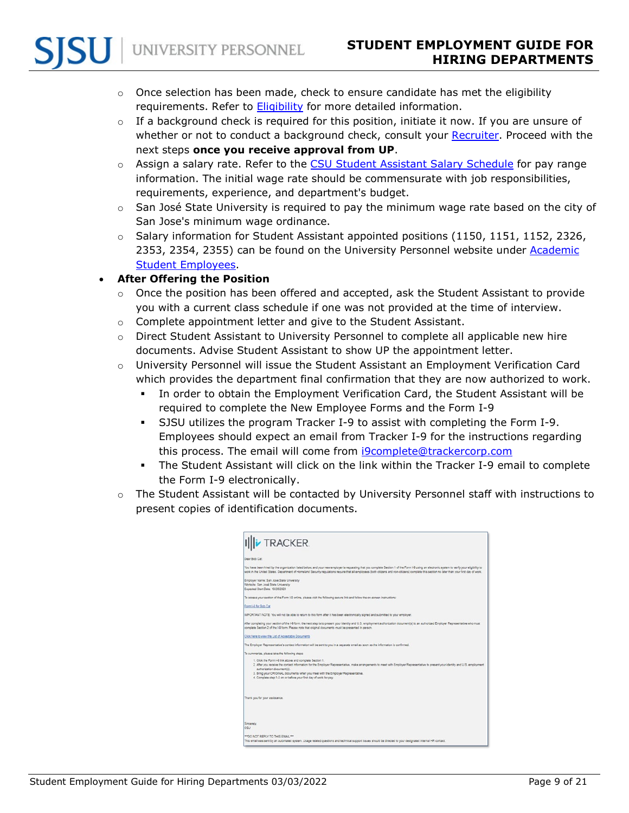- $\circ$  Once selection has been made, check to ensure candidate has met the eligibility requirements. Refer to **Eligibility** for more detailed information.
- $\circ$  If a background check is required for this position, initiate it now. If you are unsure of whether or not to conduct a background check, consult your [Recruiter.](https://www.sjsu.edu/up/resources/your-up-rep.php) Proceed with the next steps **once you receive approval from UP**.
- o Assign a salary rate. Refer to the [CSU Student Assistant Salary Schedule](https://www.calstate.edu/csu-system/careers/compensation/Pages/salary-schedule.aspx) for pay range information. The initial wage rate should be commensurate with job responsibilities, requirements, experience, and department's budget.
- $\circ$  San José State University is required to pay the minimum wage rate based on the city of San Jose's minimum wage ordinance.
- $\circ$  Salary information for Student Assistant appointed positions (1150, 1151, 1152, 2326, 2353, 2354, 2355) can be found on the University Personnel website under [Academic](https://www.sjsu.edu/up/myinfo/student-employees/academic-student-employees/index.php)  [Student Employees.](https://www.sjsu.edu/up/myinfo/student-employees/academic-student-employees/index.php)

# <span id="page-8-0"></span>• **After Offering the Position**

- o Once the position has been offered and accepted, ask the Student Assistant to provide you with a current class schedule if one was not provided at the time of interview.
- o Complete appointment letter and give to the Student Assistant.
- $\circ$  Direct Student Assistant to University Personnel to complete all applicable new hire documents. Advise Student Assistant to show UP the appointment letter.
- o University Personnel will issue the Student Assistant an Employment Verification Card which provides the department final confirmation that they are now authorized to work.
	- In order to obtain the Employment Verification Card, the Student Assistant will be required to complete the New Employee Forms and the Form I-9
	- SJSU utilizes the program Tracker I-9 to assist with completing the Form I-9. Employees should expect an email from Tracker I-9 for the instructions regarding this process. The email will come from [i9complete@trackercorp.com](mailto:i9complete@trackercorp.com)
	- The Student Assistant will click on the link within the Tracker I-9 email to complete the Form I-9 electronically.
- $\circ$  The Student Assistant will be contacted by University Personnel staff with instructions to present copies of identification documents.

| <b>iv TRACKER</b>                                                                                                  |                                                                                                                                                                                                                                                                                                                                                                                                        |
|--------------------------------------------------------------------------------------------------------------------|--------------------------------------------------------------------------------------------------------------------------------------------------------------------------------------------------------------------------------------------------------------------------------------------------------------------------------------------------------------------------------------------------------|
| Dear Bob Car                                                                                                       |                                                                                                                                                                                                                                                                                                                                                                                                        |
|                                                                                                                    | You have been hired by the organization listed below, and your new employer is requesting that you complete Section 1 of the Form I-9 using an electronic system to verify your eligibility to<br>work in the United States. Department of Horneland Security regulations require that all employees (both oldzens and non-oldzens) complete this section no later than your first day of work.        |
| Employer Name: San Jose State University<br>Worksite: San José State University<br>Expected Start Date: 10/28/2020 |                                                                                                                                                                                                                                                                                                                                                                                                        |
|                                                                                                                    | To access your section of the Form I-9 online, please visit the following secure link and follow the on-screen instructions:                                                                                                                                                                                                                                                                           |
| Form I-9 for Bob Cat                                                                                               |                                                                                                                                                                                                                                                                                                                                                                                                        |
|                                                                                                                    | IMPORTANT NOTE: You will not be able to return to this form after it has been electronically signed and submitted to your employer.                                                                                                                                                                                                                                                                    |
|                                                                                                                    | After completing your section of the 1-9 form, the next step is to present your identity and U.S. employment authorization document(s) to an authorized Employer Representative who must<br>complete Section 2 of the 1-9 form. Please note that original documents must be presented in person.                                                                                                       |
| Click here to yiew the List of Acceptable Documents                                                                |                                                                                                                                                                                                                                                                                                                                                                                                        |
|                                                                                                                    | The Employer Representative's contact information will be sent to you in a separate email as soon as the information is confirmed.                                                                                                                                                                                                                                                                     |
| To summarize, please take the following steps:                                                                     |                                                                                                                                                                                                                                                                                                                                                                                                        |
| authorization document(s).                                                                                         | 1. Click the Form I-9 link above and complete Section 1.<br>2. After you receive the contact information for the Employer Representative, make arrangements to meet with Employer Representative to present your identity and U.S. employment<br>3. Bring your CRIGINAL documents when you meet with the Employer Representative.<br>4. Complete step 1-3 on or before your first day of work for pay. |
| Thank you for your assistance.                                                                                     |                                                                                                                                                                                                                                                                                                                                                                                                        |
| Sincerely<br>CSU                                                                                                   |                                                                                                                                                                                                                                                                                                                                                                                                        |
| *** DO NOT REPLY TO THIS EMAIL***                                                                                  | This email was sent by an automated system. Usage related questions and technical support issues should be directed to your designated internal HR contact.                                                                                                                                                                                                                                            |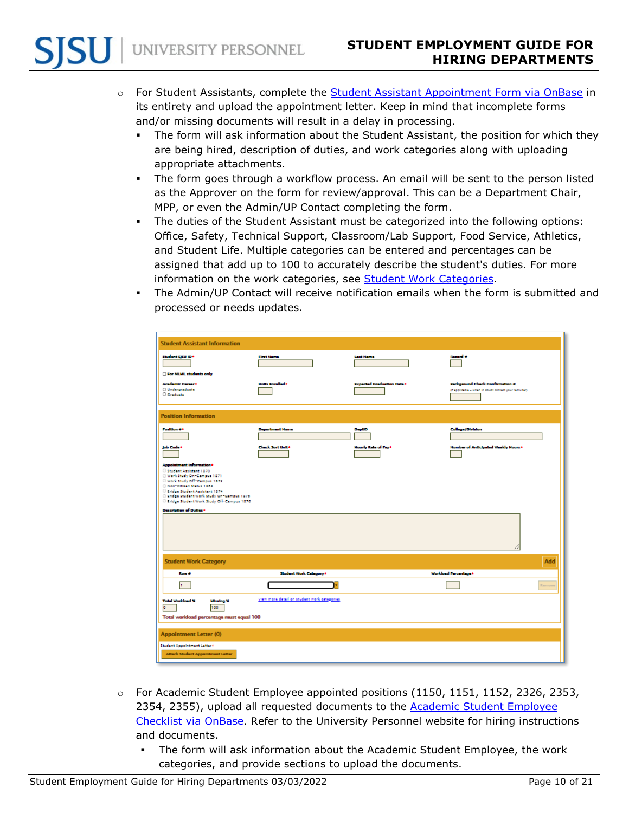- o For Student Assistants, complete the [Student Assistant Appointment Form via OnBase](https://ecm.sjsu.edu/appnet/UnityForm.aspx?d1=AWgeFSx4IE9dynpA1xVeSCvyFFETftzBLeK2VhQBXSSB74IASzGpx%2fazLGMrdLI3d8fRsm2d4k%2bFfQKh8jST6J7sHv5UsInqfU1OJvuAkg80cb0c1aVcgVUJrljBe9sK038IwUiy5%2f3GwiRGHKg%2bIAJmsJPUdaGdrX%2bww52%2bzsJX9rQKbjMZ0EL%2f1%2bDHrRoNBg1ocD8fUlHkLwlP%2bEs%2bc8cQHZ0mj3bjeD53aHvRUT1Obz1jKUbVOUS%2bYyM9EuhaXQ%3d%3d) in its entirety and upload the appointment letter. Keep in mind that incomplete forms and/or missing documents will result in a delay in processing.
	- The form will ask information about the Student Assistant, the position for which they are being hired, description of duties, and work categories along with uploading appropriate attachments.
	- The form goes through a workflow process. An email will be sent to the person listed as the Approver on the form for review/approval. This can be a Department Chair, MPP, or even the Admin/UP Contact completing the form.
	- The duties of the Student Assistant must be categorized into the following options: Office, Safety, Technical Support, Classroom/Lab Support, Food Service, Athletics, and Student Life. Multiple categories can be entered and percentages can be assigned that add up to 100 to accurately describe the student's duties. For more information on the work categories, see [Student Work Categories.](https://www.sjsu.edu/up/uptoolkit/onboard/student-employees/student-work-categories.php)
	- The Admin/UP Contact will receive notification emails when the form is submitted and processed or needs updates.

| <b>Student Assistant Information</b>                                                                                                                                                                                                                                                                 |                                             |                                   |                                                                                                  |
|------------------------------------------------------------------------------------------------------------------------------------------------------------------------------------------------------------------------------------------------------------------------------------------------------|---------------------------------------------|-----------------------------------|--------------------------------------------------------------------------------------------------|
| Student SJSU ID *<br>For MLML students only                                                                                                                                                                                                                                                          | <b>First Name</b>                           | <b>Leat Name</b>                  | Racord o                                                                                         |
| <b>Academic Career*</b><br>O Undergraduate<br>O Graduate                                                                                                                                                                                                                                             | <b>Units Enrolled *</b>                     | <b>Expected Graduation Date *</b> | <b>Rackground Check Confirmation #</b><br>(if applicable - when in doubt contact your recruiter) |
| <b>Position Information</b>                                                                                                                                                                                                                                                                          |                                             |                                   |                                                                                                  |
| <b>Foxition #*</b>                                                                                                                                                                                                                                                                                   | <b>Department Name</b>                      | <b>DeptiD</b>                     | <b>College/Division</b>                                                                          |
| Job Code*                                                                                                                                                                                                                                                                                            | <b>Chack Sort Unit+</b>                     | <b>Hourty Rate of Fays</b>        | Number of Anticipated Weekly Hours *                                                             |
| Appointment Information *<br>Student Assistant 1870<br>Work Study On-Campus 1871<br>Work Study Off-Campus 1872<br>Non-Citizen Status 1989<br>Rridge Student Assistant 1874<br>Rridge Student Work Study On-Campus 1875<br>Rridge Student Work Study Off-Campus 1876<br><b>Description of Duties*</b> |                                             |                                   |                                                                                                  |
|                                                                                                                                                                                                                                                                                                      |                                             |                                   |                                                                                                  |
| <b>Student Work Category</b>                                                                                                                                                                                                                                                                         |                                             |                                   | Add                                                                                              |
| Row #                                                                                                                                                                                                                                                                                                | Student Work Category*                      |                                   | <b>Workload Forcentage*</b>                                                                      |
| h.                                                                                                                                                                                                                                                                                                   |                                             |                                   | Ramova                                                                                           |
| <b>Total Workload X</b><br><b>Missing X</b><br>100<br>ы<br>Total worldoad percentage must equal 100                                                                                                                                                                                                  | View more detail on student work categories |                                   |                                                                                                  |
| <b>Appointment Letter (0)</b>                                                                                                                                                                                                                                                                        |                                             |                                   |                                                                                                  |
| Student Appointment Letter+<br><b>Attach Student Appointment Letter</b>                                                                                                                                                                                                                              |                                             |                                   |                                                                                                  |

- $\circ$  For Academic Student Employee appointed positions (1150, 1151, 1152, 2326, 2353, 2354, 2355), upload all requested documents to the **Academic Student Employee** [Checklist via OnBase.](https://ecm.sjsu.edu/appnet/UnityForm.aspx?d1=AZy8CkIDquWIJacowBuK5hXrb%2f3yqYMXuDf9KowqZ4n9wZxZtMM%2fyDTKfqlafEsNx0oI767eiFTHCiKqWwfsN5DtfygpLw6dwzGR7QY%2b1VqUTSmxL9hn%2boeywoTsLSvRVwkOFuUsGI%2bp6p7QbL86hMORi93pZsbmWmCGp8x6DDYSV7BIfTX3uE5wcrrww40DE%2bFhGctRc3uS4Ch6ppxvaAvTVT9PYFfRYY1TlQV8Te8jir5dNBx8nYhn6%2bVW8E0%2fuw%3d%3d) Refer to the University Personnel website for hiring instructions and documents.
	- The form will ask information about the Academic Student Employee, the work categories, and provide sections to upload the documents.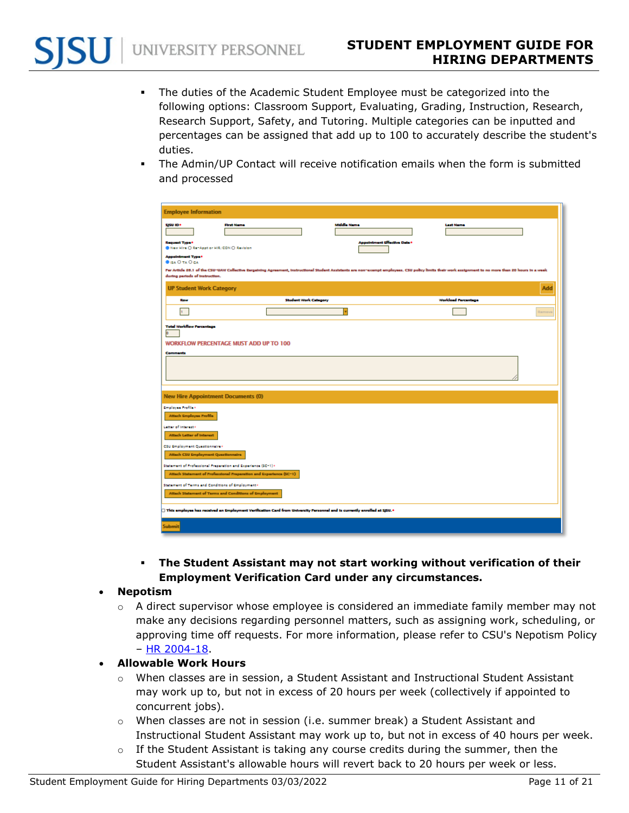- The duties of the Academic Student Employee must be categorized into the following options: Classroom Support, Evaluating, Grading, Instruction, Research, Research Support, Safety, and Tutoring. Multiple categories can be inputted and percentages can be assigned that add up to 100 to accurately describe the student's duties.
- The Admin/UP Contact will receive notification emails when the form is submitted and processed

| <b>Employee Information</b>                                                                                                              |                                                                                                                                                                                                        |                                     |                            |            |
|------------------------------------------------------------------------------------------------------------------------------------------|--------------------------------------------------------------------------------------------------------------------------------------------------------------------------------------------------------|-------------------------------------|----------------------------|------------|
| sjsu ID+                                                                                                                                 | <b>First Name</b>                                                                                                                                                                                      | <b>Middle Name</b>                  | <b>Last Name</b>           |            |
| <b>Request Type*</b><br>New Hire O RenAppt or HIR/CON O Revision<br><b>Appointment Type*</b>                                             |                                                                                                                                                                                                        | <b>Appointment Effective Date *</b> |                            |            |
| <b>BISA O TA O CA</b>                                                                                                                    | For Article 26.1 of the CSU-UAW Collective Eurgeining Agreement, Instructional Student Assistants are non-exempt employees. CSU policy limits their work assignment to no more than 20 hours in a week |                                     |                            |            |
| during periods of instruction.<br><b>UP Student Work Category</b>                                                                        |                                                                                                                                                                                                        |                                     |                            | <b>Add</b> |
| Row                                                                                                                                      | <b>Student Work Category</b>                                                                                                                                                                           |                                     | <b>Workload Forcentage</b> |            |
| h.                                                                                                                                       |                                                                                                                                                                                                        | ŀт                                  |                            | Ramova     |
| <b>Total Workflow Forcentage</b><br>b.                                                                                                   |                                                                                                                                                                                                        |                                     |                            |            |
|                                                                                                                                          | <b>WORKFLOW PERCENTAGE MUST ADD UP TO 100</b>                                                                                                                                                          |                                     |                            |            |
| <b>Commants</b>                                                                                                                          |                                                                                                                                                                                                        |                                     |                            |            |
|                                                                                                                                          |                                                                                                                                                                                                        |                                     |                            |            |
|                                                                                                                                          |                                                                                                                                                                                                        |                                     |                            |            |
| <b>New Hire Appointment Documents (0)</b>                                                                                                |                                                                                                                                                                                                        |                                     |                            |            |
| Employee Frofile *                                                                                                                       |                                                                                                                                                                                                        |                                     |                            |            |
| <b>Attach Employee Profile</b>                                                                                                           |                                                                                                                                                                                                        |                                     |                            |            |
| Letter of Interest+                                                                                                                      |                                                                                                                                                                                                        |                                     |                            |            |
| <b>Attach Letter of Interest</b>                                                                                                         |                                                                                                                                                                                                        |                                     |                            |            |
| CSU Employment Questionnaire*<br><b>Attach CSU Employment Questionnaire</b>                                                              |                                                                                                                                                                                                        |                                     |                            |            |
| Statement of Frofessional Preparation and Experience (SC-1)*                                                                             |                                                                                                                                                                                                        |                                     |                            |            |
| Attach Statement of Professional Preparation and Experience (SC-1)                                                                       |                                                                                                                                                                                                        |                                     |                            |            |
| Statement of Terms and Conditions of Employment+                                                                                         |                                                                                                                                                                                                        |                                     |                            |            |
| Attach Statement of Terms and Conditions of Employment                                                                                   |                                                                                                                                                                                                        |                                     |                            |            |
| $\Box$ This employee has received an Employment Verification Card from University Personnel and is currently enrolled at SJSU. $\bullet$ |                                                                                                                                                                                                        |                                     |                            |            |
| Submit                                                                                                                                   |                                                                                                                                                                                                        |                                     |                            |            |

- **The Student Assistant may not start working without verification of their Employment Verification Card under any circumstances.**
- <span id="page-10-0"></span>• **Nepotism**
	- $\circ$  A direct supervisor whose employee is considered an immediate family member may not make any decisions regarding personnel matters, such as assigning work, scheduling, or approving time off requests. For more information, please refer to CSU's Nepotism Policy – [HR 2004-18.](https://www.calstate.edu/HRAdm/pdf2004/HR2004-18.pdf)
- <span id="page-10-1"></span>• **Allowable Work Hours**
	- o When classes are in session, a Student Assistant and Instructional Student Assistant may work up to, but not in excess of 20 hours per week (collectively if appointed to concurrent jobs).
	- $\circ$  When classes are not in session (i.e. summer break) a Student Assistant and Instructional Student Assistant may work up to, but not in excess of 40 hours per week.
	- $\circ$  If the Student Assistant is taking any course credits during the summer, then the Student Assistant's allowable hours will revert back to 20 hours per week or less.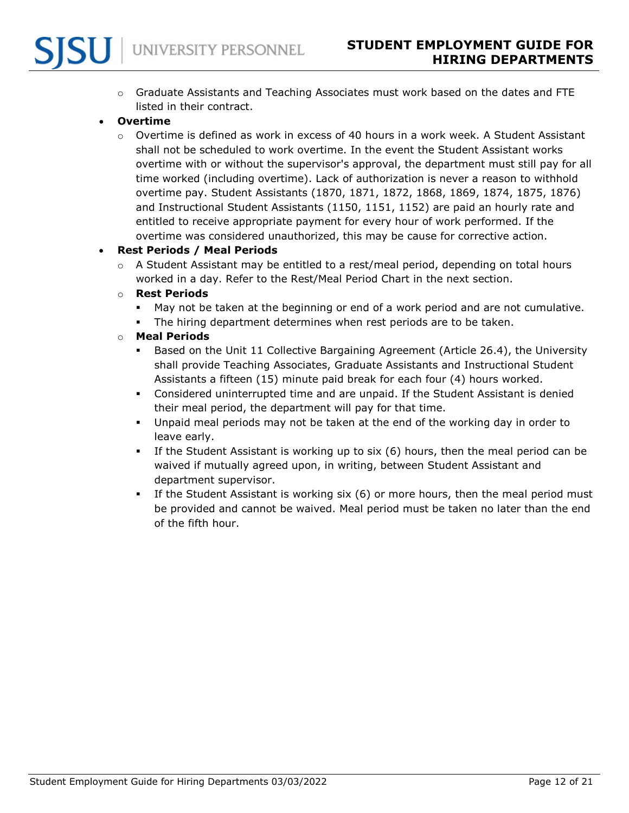

 $\circ$  Graduate Assistants and Teaching Associates must work based on the dates and FTE listed in their contract.

## <span id="page-11-0"></span>• **Overtime**

 $\circ$  Overtime is defined as work in excess of 40 hours in a work week. A Student Assistant shall not be scheduled to work overtime. In the event the Student Assistant works overtime with or without the supervisor's approval, the department must still pay for all time worked (including overtime). Lack of authorization is never a reason to withhold overtime pay. Student Assistants (1870, 1871, 1872, 1868, 1869, 1874, 1875, 1876) and Instructional Student Assistants (1150, 1151, 1152) are paid an hourly rate and entitled to receive appropriate payment for every hour of work performed. If the overtime was considered unauthorized, this may be cause for corrective action.

#### <span id="page-11-1"></span>• **Rest Periods / Meal Periods**

 $\circ$  A Student Assistant may be entitled to a rest/meal period, depending on total hours worked in a day. Refer to the Rest/Meal Period Chart in the next section.

#### o **Rest Periods**

- May not be taken at the beginning or end of a work period and are not cumulative.
- The hiring department determines when rest periods are to be taken.

#### o **Meal Periods**

- Based on the Unit 11 Collective Bargaining Agreement (Article 26.4), the University shall provide Teaching Associates, Graduate Assistants and Instructional Student Assistants a fifteen (15) minute paid break for each four (4) hours worked.
- Considered uninterrupted time and are unpaid. If the Student Assistant is denied their meal period, the department will pay for that time.
- Unpaid meal periods may not be taken at the end of the working day in order to leave early.
- If the Student Assistant is working up to six (6) hours, then the meal period can be waived if mutually agreed upon, in writing, between Student Assistant and department supervisor.
- If the Student Assistant is working six (6) or more hours, then the meal period must be provided and cannot be waived. Meal period must be taken no later than the end of the fifth hour.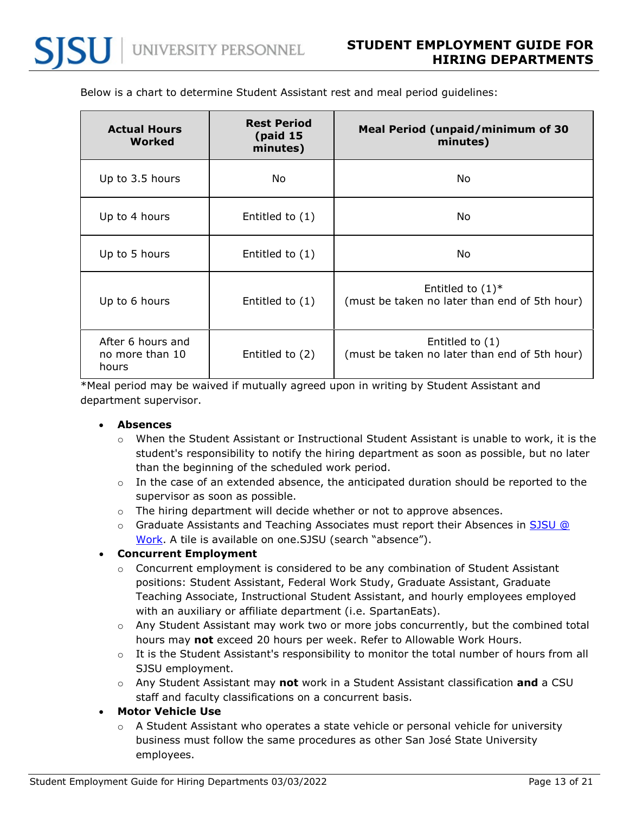| <b>Actual Hours</b><br>Worked                 | <b>Rest Period</b><br>(paid 15)<br>minutes) | <b>Meal Period (unpaid/minimum of 30</b><br>minutes)                 |
|-----------------------------------------------|---------------------------------------------|----------------------------------------------------------------------|
| Up to 3.5 hours                               | No                                          | No                                                                   |
| Up to 4 hours                                 | Entitled to $(1)$                           | No                                                                   |
| Up to 5 hours                                 | Entitled to $(1)$                           | No                                                                   |
| Up to 6 hours                                 | Entitled to $(1)$                           | Entitled to $(1)^*$<br>(must be taken no later than end of 5th hour) |
| After 6 hours and<br>no more than 10<br>hours | Entitled to (2)                             | Entitled to $(1)$<br>(must be taken no later than end of 5th hour)   |

Below is a chart to determine Student Assistant rest and meal period guidelines:

<span id="page-12-0"></span>\*Meal period may be waived if mutually agreed upon in writing by Student Assistant and department supervisor.

#### • **Absences**

- $\circ$  When the Student Assistant or Instructional Student Assistant is unable to work, it is the student's responsibility to notify the hiring department as soon as possible, but no later than the beginning of the scheduled work period.
- $\circ$  In the case of an extended absence, the anticipated duration should be reported to the supervisor as soon as possible.
- $\circ$  The hiring department will decide whether or not to approve absences.
- o Graduate Assistants and Teaching Associates must report their Absences in [SJSU @](https://one.sjsu.edu/launch-task/all/enter-my-absences-104618?terms=absence)  [Work.](https://one.sjsu.edu/launch-task/all/enter-my-absences-104618?terms=absence) A tile is available on one.SJSU (search "absence").

#### <span id="page-12-1"></span>• **Concurrent Employment**

- $\circ$  Concurrent employment is considered to be any combination of Student Assistant positions: Student Assistant, Federal Work Study, Graduate Assistant, Graduate Teaching Associate, Instructional Student Assistant, and hourly employees employed with an auxiliary or affiliate department (i.e. SpartanEats).
- $\circ$  Any Student Assistant may work two or more jobs concurrently, but the combined total hours may **not** exceed 20 hours per week. Refer to Allowable Work Hours.
- o It is the Student Assistant's responsibility to monitor the total number of hours from all SJSU employment.
- o Any Student Assistant may **not** work in a Student Assistant classification **and** a CSU staff and faculty classifications on a concurrent basis.

#### <span id="page-12-2"></span>• **Motor Vehicle Use**

 $\circ$  A Student Assistant who operates a state vehicle or personal vehicle for university business must follow the same procedures as other San José State University employees.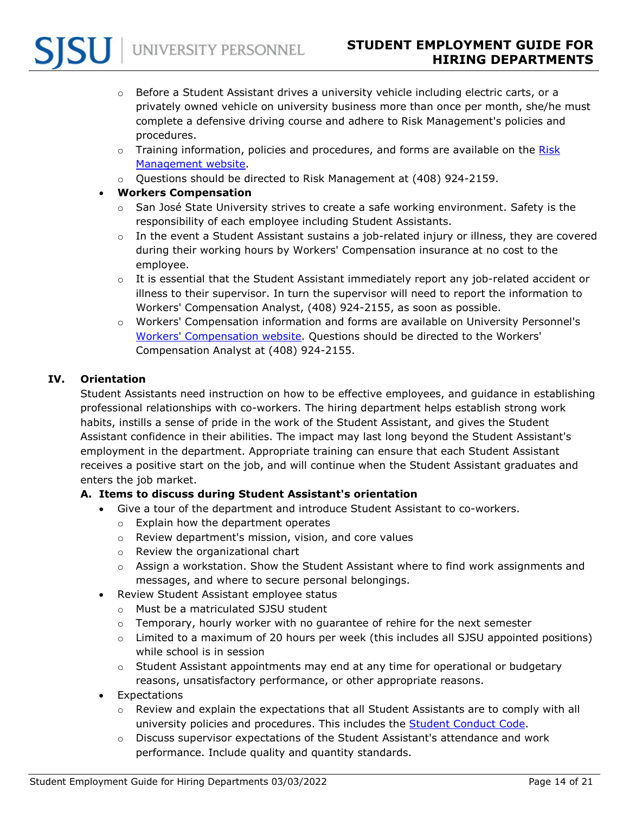- $\circ$  Before a Student Assistant drives a university vehicle including electric carts, or a privately owned vehicle on university business more than once per month, she/he must complete a defensive driving course and adhere to Risk Management's policies and procedures.
- $\circ$  Training information, policies and procedures, and forms are available on the Risk [Management website.](https://www.sjsu.edu/fabs/services/risk/)
- $\circ$  Questions should be directed to Risk Management at (408) 924-2159.

# <span id="page-13-0"></span>• **Workers Compensation**

- $\circ$  San José State University strives to create a safe working environment. Safety is the responsibility of each employee including Student Assistants.
- $\circ$  In the event a Student Assistant sustains a job-related injury or illness, they are covered during their working hours by Workers' Compensation insurance at no cost to the employee.
- $\circ$  It is essential that the Student Assistant immediately report any job-related accident or illness to their supervisor. In turn the supervisor will need to report the information to Workers' Compensation Analyst, (408) 924-2155, as soon as possible.
- o Workers' Compensation information and forms are available on University Personnel's [Workers' Compensation website.](https://www.sjsu.edu/up/myinfo/workers-compensation/) Questions should be directed to the Workers' Compensation Analyst at (408) 924-2155.

# <span id="page-13-1"></span>**IV. Orientation**

Student Assistants need instruction on how to be effective employees, and guidance in establishing professional relationships with co-workers. The hiring department helps establish strong work habits, instills a sense of pride in the work of the Student Assistant, and gives the Student Assistant confidence in their abilities. The impact may last long beyond the Student Assistant's employment in the department. Appropriate training can ensure that each Student Assistant receives a positive start on the job, and will continue when the Student Assistant graduates and enters the job market.

# <span id="page-13-3"></span><span id="page-13-2"></span>**A. Items to discuss during Student Assistant's orientation**

- Give a tour of the department and introduce Student Assistant to co-workers.
	- o Explain how the department operates
	- o Review department's mission, vision, and core values
	- o Review the organizational chart
	- $\circ$  Assign a workstation. Show the Student Assistant where to find work assignments and messages, and where to secure personal belongings.
- <span id="page-13-4"></span>• Review Student Assistant employee status
	- o Must be a matriculated SJSU student
	- $\circ$  Temporary, hourly worker with no quarantee of rehire for the next semester
	- o Limited to a maximum of 20 hours per week (this includes all SJSU appointed positions) while school is in session
	- $\circ$  Student Assistant appointments may end at any time for operational or budgetary reasons, unsatisfactory performance, or other appropriate reasons.
- <span id="page-13-5"></span>**Expectations** 
	- $\circ$  Review and explain the expectations that all Student Assistants are to comply with all university policies and procedures. This includes the [Student Conduct Code.](https://www.sjsu.edu/studentconduct/conduct-processes/student-conduct.php)
	- $\circ$  Discuss supervisor expectations of the Student Assistant's attendance and work performance. Include quality and quantity standards.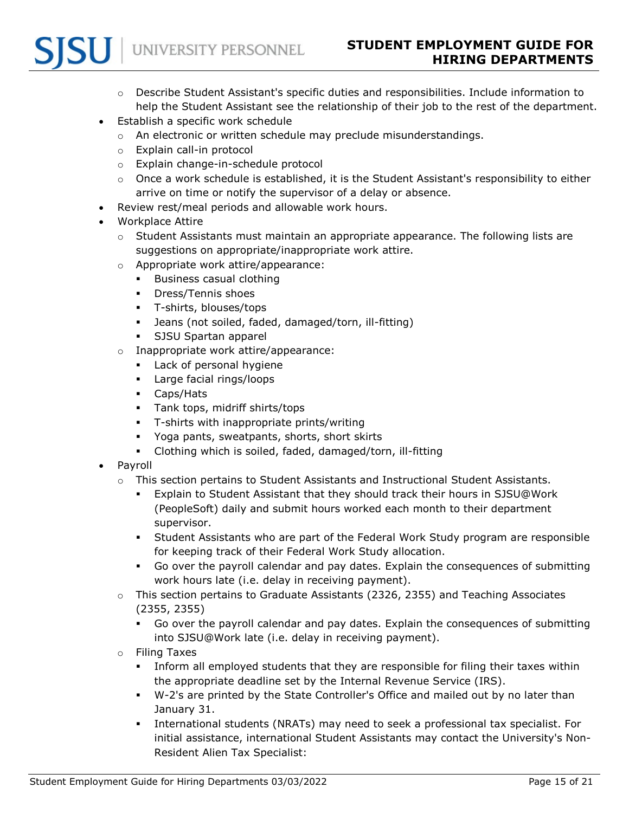- $\circ$  Describe Student Assistant's specific duties and responsibilities. Include information to help the Student Assistant see the relationship of their job to the rest of the department.
- <span id="page-14-0"></span>• Establish a specific work schedule
	- o An electronic or written schedule may preclude misunderstandings.
	- o Explain call-in protocol
	- o Explain change-in-schedule protocol
	- $\circ$  Once a work schedule is established, it is the Student Assistant's responsibility to either arrive on time or notify the supervisor of a delay or absence.
- <span id="page-14-1"></span>• Review rest/meal periods and allowable work hours.
- <span id="page-14-2"></span>• Workplace Attire
	- $\circ$  Student Assistants must maintain an appropriate appearance. The following lists are suggestions on appropriate/inappropriate work attire.
	- o Appropriate work attire/appearance:
		- **Business casual clothing**
		- **•** Dress/Tennis shoes
		- T-shirts, blouses/tops
		- Jeans (not soiled, faded, damaged/torn, ill-fitting)
		- **SJSU Spartan apparel**
	- o Inappropriate work attire/appearance:
		- **Lack of personal hygiene**
		- **Large facial rings/loops**
		- Caps/Hats
		- **Tank tops, midriff shirts/tops**
		- **T**-shirts with inappropriate prints/writing
		- Yoga pants, sweatpants, shorts, short skirts
		- Clothing which is soiled, faded, damaged/torn, ill-fitting
- <span id="page-14-3"></span>• Payroll
	- $\circ$  This section pertains to Student Assistants and Instructional Student Assistants.
		- Explain to Student Assistant that they should track their hours in SJSU@Work (PeopleSoft) daily and submit hours worked each month to their department supervisor.
		- Student Assistants who are part of the Federal Work Study program are responsible for keeping track of their Federal Work Study allocation.
		- Go over the payroll calendar and pay dates. Explain the consequences of submitting work hours late (i.e. delay in receiving payment).
	- o This section pertains to Graduate Assistants (2326, 2355) and Teaching Associates (2355, 2355)
		- Go over the payroll calendar and pay dates. Explain the consequences of submitting into SJSU@Work late (i.e. delay in receiving payment).
	- o Filing Taxes
		- Inform all employed students that they are responsible for filing their taxes within the appropriate deadline set by the Internal Revenue Service (IRS).
		- W-2's are printed by the State Controller's Office and mailed out by no later than January 31.
		- International students (NRATs) may need to seek a professional tax specialist. For initial assistance, international Student Assistants may contact the University's Non-Resident Alien Tax Specialist: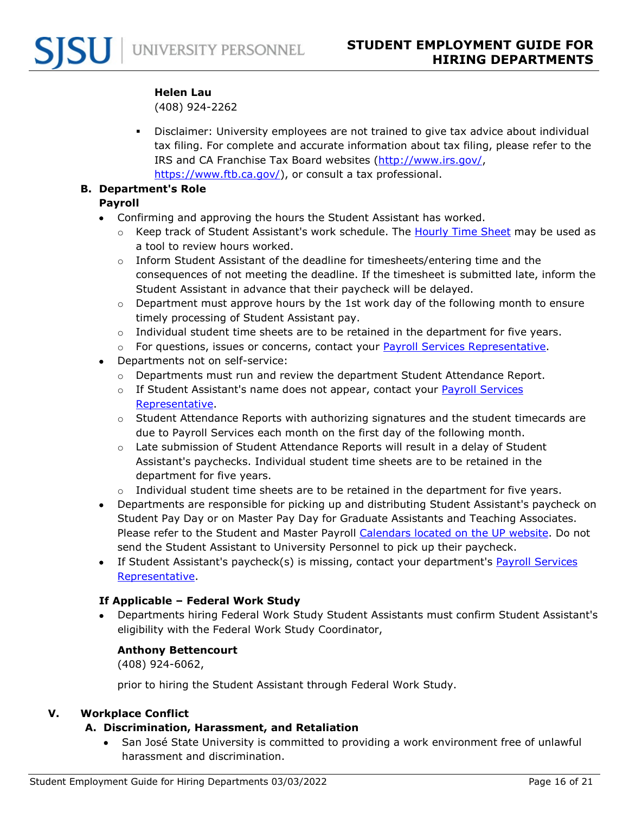#### **Helen Lau**

(408) 924-2262

 Disclaimer: University employees are not trained to give tax advice about individual tax filing. For complete and accurate information about tax filing, please refer to the IRS and CA Franchise Tax Board websites [\(http://www.irs.gov/,](http://www.irs.gov/) [https://www.ftb.ca.gov/\)](https://www.ftb.ca.gov/), or consult a tax professional.

#### <span id="page-15-1"></span><span id="page-15-0"></span>**B. Department's Role**

## **Payroll**

- Confirming and approving the hours the Student Assistant has worked.
	- o Keep track of Student Assistant's work schedule. The [Hourly Time Sheet](https://www.sjsu.edu/up/docs/payroll/forms/hourly_time_sheet.xls) may be used as a tool to review hours worked.
	- $\circ$  Inform Student Assistant of the deadline for timesheets/entering time and the consequences of not meeting the deadline. If the timesheet is submitted late, inform the Student Assistant in advance that their paycheck will be delayed.
	- $\circ$  Department must approve hours by the 1st work day of the following month to ensure timely processing of Student Assistant pay.
	- o Individual student time sheets are to be retained in the department for five years.
	- $\circ$  For questions, issues or concerns, contact your [Payroll Services Representative.](https://www.sjsu.edu/up/resources/your-up-rep.php)
- Departments not on self-service:
	- $\circ$  Departments must run and review the department Student Attendance Report.
	- o If Student Assistant's name does not appear, contact your Payroll Services [Representative.](https://www.sjsu.edu/up/resources/your-up-rep.php)
	- $\circ$  Student Attendance Reports with authorizing signatures and the student timecards are due to Payroll Services each month on the first day of the following month.
	- $\circ$  Late submission of Student Attendance Reports will result in a delay of Student Assistant's paychecks. Individual student time sheets are to be retained in the department for five years.
	- $\circ$  Individual student time sheets are to be retained in the department for five years.
- Departments are responsible for picking up and distributing Student Assistant's paycheck on Student Pay Day or on Master Pay Day for Graduate Assistants and Teaching Associates. Please refer to the Student and Master Payroll [Calendars located on the UP website.](https://www.sjsu.edu/up/resources/calendars.php) Do not send the Student Assistant to University Personnel to pick up their paycheck.
- If Student Assistant's paycheck(s) is missing, contact your department's Payroll Services [Representative.](https://www.sjsu.edu/up/resources/your-up-rep.php)

# <span id="page-15-2"></span>**If Applicable – Federal Work Study**

• Departments hiring Federal Work Study Student Assistants must confirm Student Assistant's eligibility with the Federal Work Study Coordinator,

# **Anthony Bettencourt**

(408) 924-6062,

prior to hiring the Student Assistant through Federal Work Study.

# <span id="page-15-4"></span><span id="page-15-3"></span>**V. Workplace Conflict**

# **A. Discrimination, Harassment, and Retaliation**

• San José State University is committed to providing a work environment free of unlawful harassment and discrimination.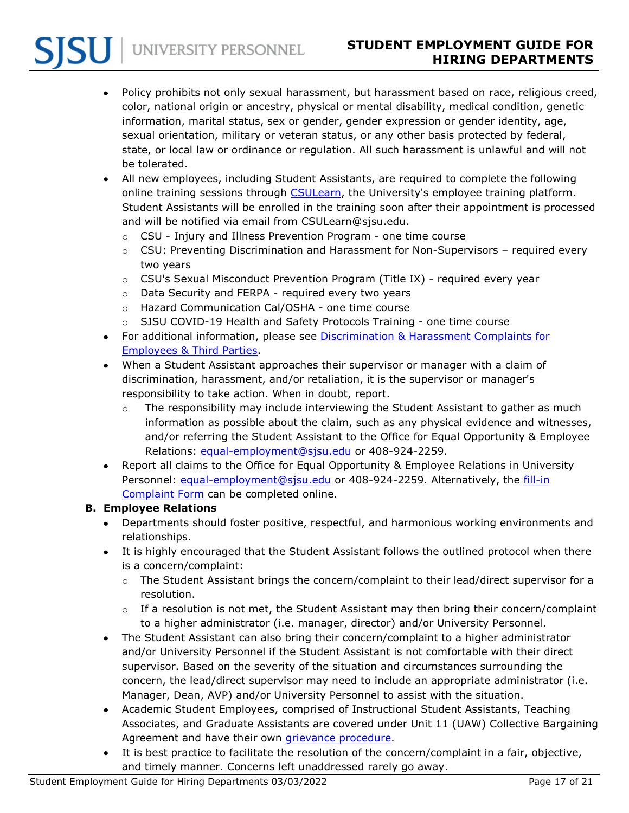• Policy prohibits not only sexual harassment, but harassment based on race, religious creed, color, national origin or ancestry, physical or mental disability, medical condition, genetic information, marital status, sex or gender, gender expression or gender identity, age, sexual orientation, military or veteran status, or any other basis protected by federal, state, or local law or ordinance or regulation. All such harassment is unlawful and will not be tolerated.

- All new employees, including Student Assistants, are required to complete the following online training sessions through [CSULearn,](https://one.sjsu.edu/launch-task/all/csulearn) the University's employee training platform. Student Assistants will be enrolled in the training soon after their appointment is processed and will be notified via email from CSULearn@sjsu.edu.
	- o CSU Injury and Illness Prevention Program one time course
	- $\circ$  CSU: Preventing Discrimination and Harassment for Non-Supervisors required every two years
	- o CSU's Sexual Misconduct Prevention Program (Title IX) required every year
	- o Data Security and FERPA required every two years

UNIVERSITY PERSONNEL

- o Hazard Communication Cal/OSHA one time course
- $\circ$  SJSU COVID-19 Health and Safety Protocols Training one time course
- For additional information, please see [Discrimination & Harassment Complaints for](https://www.sjsu.edu/up/myinfo/equal-opportunity/employee-rights-and-complaints/index.php)  [Employees & Third Parties.](https://www.sjsu.edu/up/myinfo/equal-opportunity/employee-rights-and-complaints/index.php)
- When a Student Assistant approaches their supervisor or manager with a claim of discrimination, harassment, and/or retaliation, it is the supervisor or manager's responsibility to take action. When in doubt, report.
	- $\circ$  The responsibility may include interviewing the Student Assistant to gather as much information as possible about the claim, such as any physical evidence and witnesses, and/or referring the Student Assistant to the Office for Equal Opportunity & Employee Relations: [equal-employment@sjsu.edu](mailto:equal-employment@sjsu.edu) or 408-924-2259.
- Report all claims to the Office for Equal Opportunity & Employee Relations in University Personnel: [equal-employment@sjsu.edu](mailto:equal-employment@sjsu.edu) or 408-924-2259. Alternatively, the fill-in [Complaint Form](https://www.sjsu.edu/up/docs/eo-1096-attachment-a-employee-third-party-complaint-form.docx) can be completed online.

#### <span id="page-16-0"></span>**B. Employee Relations**

- Departments should foster positive, respectful, and harmonious working environments and relationships.
- It is highly encouraged that the Student Assistant follows the outlined protocol when there is a concern/complaint:
	- $\circ$  The Student Assistant brings the concern/complaint to their lead/direct supervisor for a resolution.
	- $\circ$  If a resolution is not met, the Student Assistant may then bring their concern/complaint to a higher administrator (i.e. manager, director) and/or University Personnel.
- The Student Assistant can also bring their concern/complaint to a higher administrator and/or University Personnel if the Student Assistant is not comfortable with their direct supervisor. Based on the severity of the situation and circumstances surrounding the concern, the lead/direct supervisor may need to include an appropriate administrator (i.e. Manager, Dean, AVP) and/or University Personnel to assist with the situation.
- Academic Student Employees, comprised of Instructional Student Assistants, Teaching Associates, and Graduate Assistants are covered under Unit 11 (UAW) Collective Bargaining Agreement and have their own *grievance procedure*.
- It is best practice to facilitate the resolution of the concern/complaint in a fair, objective, and timely manner. Concerns left unaddressed rarely go away.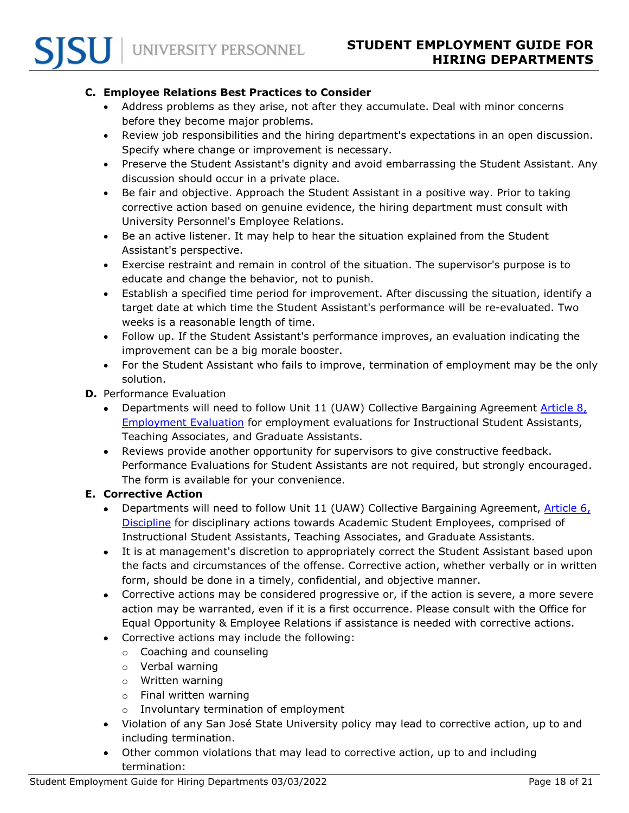#### <span id="page-17-0"></span>**C. Employee Relations Best Practices to Consider**

- Address problems as they arise, not after they accumulate. Deal with minor concerns before they become major problems.
- Review job responsibilities and the hiring department's expectations in an open discussion. Specify where change or improvement is necessary.
- Preserve the Student Assistant's dignity and avoid embarrassing the Student Assistant. Any discussion should occur in a private place.
- Be fair and objective. Approach the Student Assistant in a positive way. Prior to taking corrective action based on genuine evidence, the hiring department must consult with University Personnel's Employee Relations.
- Be an active listener. It may help to hear the situation explained from the Student Assistant's perspective.
- Exercise restraint and remain in control of the situation. The supervisor's purpose is to educate and change the behavior, not to punish.
- Establish a specified time period for improvement. After discussing the situation, identify a target date at which time the Student Assistant's performance will be re-evaluated. Two weeks is a reasonable length of time.
- Follow up. If the Student Assistant's performance improves, an evaluation indicating the improvement can be a big morale booster.
- For the Student Assistant who fails to improve, termination of employment may be the only solution.
- <span id="page-17-1"></span>**D.** Performance Evaluation
	- Departments will need to follow Unit 11 (UAW) Collective Bargaining Agreement [Article 8,](https://www.calstate.edu/csu-system/faculty-staff/labor-and-employee-relations/Documents/unit11-uaw/article8.pdf)  [Employment Evaluation](https://www.calstate.edu/csu-system/faculty-staff/labor-and-employee-relations/Documents/unit11-uaw/article8.pdf) for employment evaluations for Instructional Student Assistants, Teaching Associates, and Graduate Assistants.
	- Reviews provide another opportunity for supervisors to give constructive feedback. Performance Evaluations for Student Assistants are not required, but strongly encouraged. The form is available for your convenience.

#### <span id="page-17-2"></span>**E. Corrective Action**

- Departments will need to follow Unit 11 (UAW) Collective Bargaining Agreement, Article 6, [Discipline](https://www.calstate.edu/csu-system/faculty-staff/labor-and-employee-relations/Documents/unit11-uaw/article6.pdf) for disciplinary actions towards Academic Student Employees, comprised of Instructional Student Assistants, Teaching Associates, and Graduate Assistants.
- It is at management's discretion to appropriately correct the Student Assistant based upon the facts and circumstances of the offense. Corrective action, whether verbally or in written form, should be done in a timely, confidential, and objective manner.
- Corrective actions may be considered progressive or, if the action is severe, a more severe action may be warranted, even if it is a first occurrence. Please consult with the Office for Equal Opportunity & Employee Relations if assistance is needed with corrective actions.
- Corrective actions may include the following:
	- o Coaching and counseling
	- o Verbal warning
	- o Written warning
	- o Final written warning
	- o Involuntary termination of employment
- Violation of any San José State University policy may lead to corrective action, up to and including termination.
- Other common violations that may lead to corrective action, up to and including termination: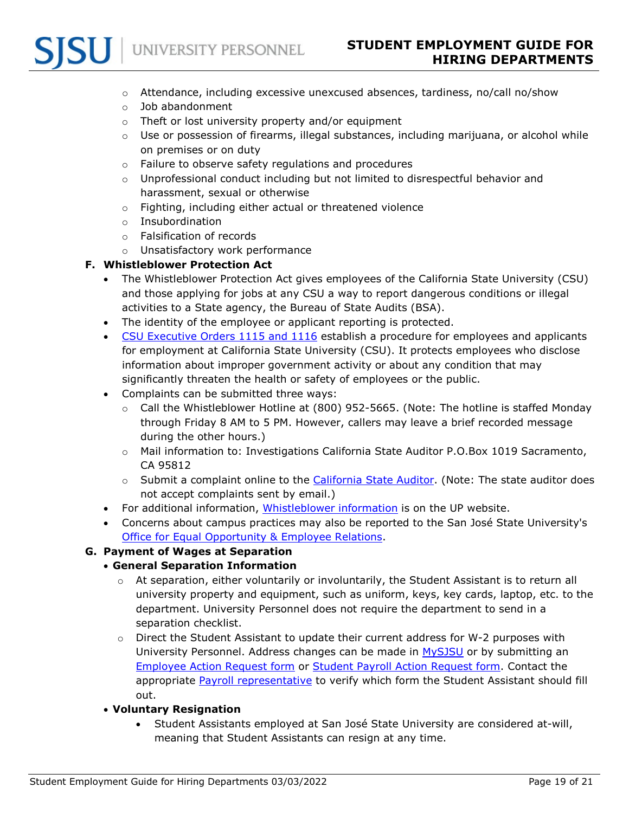- $\circ$  Attendance, including excessive unexcused absences, tardiness, no/call no/show
- o Job abandonment
- o Theft or lost university property and/or equipment
- $\circ$  Use or possession of firearms, illegal substances, including marijuana, or alcohol while on premises or on duty
- o Failure to observe safety regulations and procedures
- $\circ$  Unprofessional conduct including but not limited to disrespectful behavior and harassment, sexual or otherwise
- o Fighting, including either actual or threatened violence
- o Insubordination
- o Falsification of records
- o Unsatisfactory work performance

#### <span id="page-18-0"></span>**F. Whistleblower Protection Act**

- The Whistleblower Protection Act gives employees of the California State University (CSU) and those applying for jobs at any CSU a way to report dangerous conditions or illegal activities to a State agency, the Bureau of State Audits (BSA).
- The identity of the employee or applicant reporting is protected.
- [CSU Executive Orders 1115 and 1116](https://www.sjsu.edu/up/myinfo/equal-opportunity/employee-rights-and-complaints/whistleblower-act.php) establish a procedure for employees and applicants for employment at California State University (CSU). It protects employees who disclose information about improper government activity or about any condition that may significantly threaten the health or safety of employees or the public.
- Complaints can be submitted three ways:
	- $\circ$  Call the Whistleblower Hotline at (800) 952-5665. (Note: The hotline is staffed Monday through Friday 8 AM to 5 PM. However, callers may leave a brief recorded message during the other hours.)
	- o Mail information to: Investigations California State Auditor P.O.Box 1019 Sacramento, CA 95812
	- $\circ$  Submit a complaint online to the [California State Auditor.](http://www.auditor.ca.gov/hotline) (Note: The state auditor does not accept complaints sent by email.)
- For additional information, *Whistleblower information* is on the UP website.
- Concerns about campus practices may also be reported to the San José State University's [Office for Equal Opportunity & Employee Relations.](https://www.sjsu.edu/up/myinfo/equal-opportunity/index.php)

#### <span id="page-18-2"></span><span id="page-18-1"></span>**G. Payment of Wages at Separation**

#### • **General Separation Information**

- $\circ$  At separation, either voluntarily or involuntarily, the Student Assistant is to return all university property and equipment, such as uniform, keys, key cards, laptop, etc. to the department. University Personnel does not require the department to send in a separation checklist.
- o Direct the Student Assistant to update their current address for W-2 purposes with University Personnel. Address changes can be made in [MySJSU](https://one.sjsu.edu/launch-task/all/change-my-address) or by submitting an [Employee Action Request form](https://app.docusign.com/templates/details/9fe45e55-ff05-4c06-b185-b61efd984019) or [Student Payroll Action Request form.](https://www.documents.dgs.ca.gov/dgs/fmc/pdf/std457.pdf) Contact the appropriate [Payroll representative](https://www.sjsu.edu/up/resources/your-up-rep.php) to verify which form the Student Assistant should fill out.

#### <span id="page-18-3"></span>• **Voluntary Resignation**

• Student Assistants employed at San José State University are considered at-will, meaning that Student Assistants can resign at any time.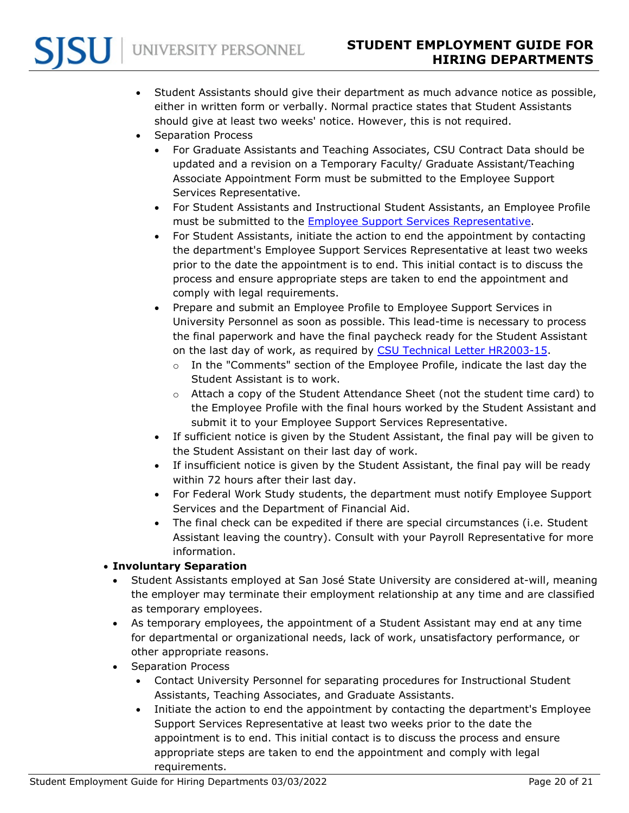- Student Assistants should give their department as much advance notice as possible, either in written form or verbally. Normal practice states that Student Assistants should give at least two weeks' notice. However, this is not required.
- Separation Process
	- For Graduate Assistants and Teaching Associates, CSU Contract Data should be updated and a revision on a Temporary Faculty/ Graduate Assistant/Teaching Associate Appointment Form must be submitted to the Employee Support Services Representative.
	- For Student Assistants and Instructional Student Assistants, an Employee Profile must be submitted to the [Employee Support Services Representative.](https://www.sjsu.edu/up/resources/your-up-rep.php)
	- For Student Assistants, initiate the action to end the appointment by contacting the department's Employee Support Services Representative at least two weeks prior to the date the appointment is to end. This initial contact is to discuss the process and ensure appropriate steps are taken to end the appointment and comply with legal requirements.
	- Prepare and submit an Employee Profile to Employee Support Services in University Personnel as soon as possible. This lead-time is necessary to process the final paperwork and have the final paycheck ready for the Student Assistant on the last day of work, as required by [CSU Technical Letter HR2003-15.](https://www.calstate.edu/HRAdm/Policies/HR2003-15.pdf)
		- $\circ$  In the "Comments" section of the Employee Profile, indicate the last day the Student Assistant is to work.
		- o Attach a copy of the Student Attendance Sheet (not the student time card) to the Employee Profile with the final hours worked by the Student Assistant and submit it to your Employee Support Services Representative.
	- If sufficient notice is given by the Student Assistant, the final pay will be given to the Student Assistant on their last day of work.
	- If insufficient notice is given by the Student Assistant, the final pay will be ready within 72 hours after their last day.
	- For Federal Work Study students, the department must notify Employee Support Services and the Department of Financial Aid.
	- The final check can be expedited if there are special circumstances (i.e. Student Assistant leaving the country). Consult with your Payroll Representative for more information.

# <span id="page-19-0"></span>• **Involuntary Separation**

- Student Assistants employed at San José State University are considered at-will, meaning the employer may terminate their employment relationship at any time and are classified as temporary employees.
- As temporary employees, the appointment of a Student Assistant may end at any time for departmental or organizational needs, lack of work, unsatisfactory performance, or other appropriate reasons.
- Separation Process
	- Contact University Personnel for separating procedures for Instructional Student Assistants, Teaching Associates, and Graduate Assistants.
	- Initiate the action to end the appointment by contacting the department's Employee Support Services Representative at least two weeks prior to the date the appointment is to end. This initial contact is to discuss the process and ensure appropriate steps are taken to end the appointment and comply with legal requirements.